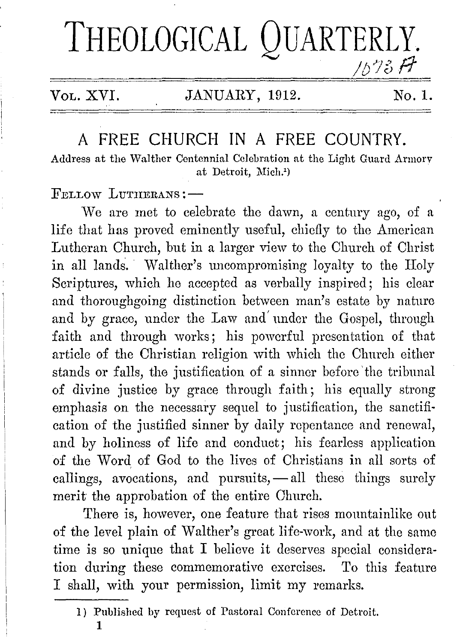# **THEOLOGICAL QUARTERLY.**  / <sup>h</sup>.,7-~ *t1- u o* r1

### VOL. XVI. JANUARY, 1912. No. 1.

## A FREE CHURCH IN A FREE COUNTRY.

Address at the Walther Centennial Celebration at the Light Guard Armorv at Detroit, Mich.')

FELLOW LITTHERANS:-

vVe are met to celebrate the dawn, a century ago, of a life that has proved eminently useful, chiefly to the American Lutheran Church, but in a larger view to the Church of Christ in all lands. Walther's uncompromising loyalty to the Holy Scriptures, which he accepted as verbally inspired; his clear and thoroughgoing distinction between man's estate by nature and by grace, under the Law and' under the Gospel, through faith and through works; his powerful presentation of that article of the Christian religion with which tho Church either stands **or** falls, the justification of a sinner before 'the tribunal of divine justice by grace through faith; his equally strong emphasis on the necessary sequel to justification, the sanctification of the justified sinner by daily repentance and renewal, and by holiness of life and conduct; his fearless application of the Word of God to the lives of Christians in all sorts of callings, avocations, and pursuits, - all these things surely merit the approbation of the entire Church.

There is, however, one feature that rises mountainlike out of the level plain of Walther's great life-work, and at the same time is so unique that I believe it deserves special consideration during these commemorative exercises. To this feature I shall, with your permission, limit my remarks.

1

<sup>1)</sup> Published by request of Pastoral Conference of Detroit.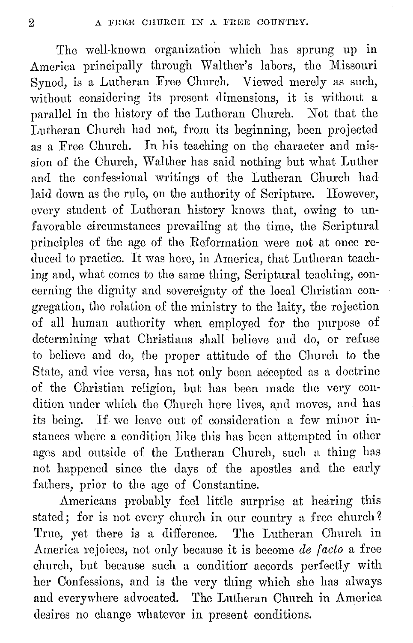The well-known organization which has sprung up in America principally through Walther's labors, the Missouri Synod, is a Lutheran Free Church. Viewed merely as such, without considering its present dimensions, it is without a parallel in the history of tho Lutheran Church. Not that the Lutheran Church had not, from its beginning, hoen projected as a Free Church. In his teaching on the character and mission of the Church, Walther has said nothing but what Luther and the confessional writings of the Lutheran Church had laid down as the rule, on the authority of Scripture. However, every student of Lutheran history knows that, owing to unfavorable circumstances prevailing at tho time, the Scriptural principles of the ago of tho Reformation were not at once reduced to practice. It was here, in America, that Lutheran teaching and, what comes to the same thing, Scriptural teaching, concerning the dignity and sovereignty of the local Christian congregation, tho relation of the ministry to tho laity, tho rejection of all human authority when employed for the purpose of determining what Christians shall believe and do, or refuse to believe and do, the proper attitude of tho Church to the State, and vice versa, has not only been accepted as a doctrine of the Christian religion, but has been made the very condition under which the Church here lives, and moves, and has its being. If we leave out of consideration a few minor instances where a condition like this has been attempted in other agos and outside of the Lutheran Church, such a thing has not happened since the days of the apostles and tho early fathers, prior to the ago of Constantine.

Americans probably feel little surprise at hearing this stated; for is not every church in our country a free church? True, yet there is a difference. The Lutheran Church in America rejoices, not only because it is become *de facto* a free church, but because such a condition accords perfectly with her Confessions, and is the very thing which she has always and everywhere advocated. The Lutheran Church in America desires no change whatever in present conditions.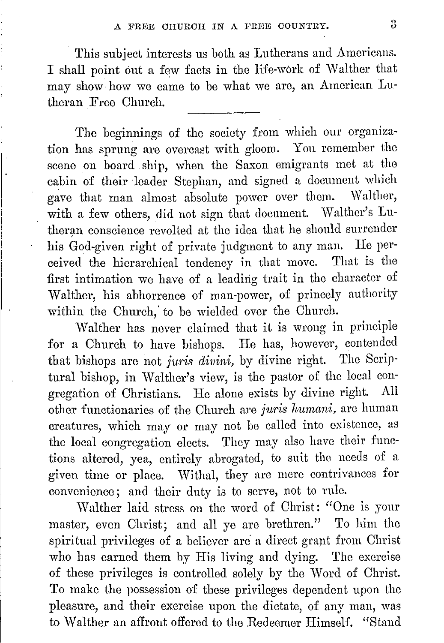This subject interests us both as Lutherans and Americans. I shall point out a few facts in the life-work of Walther that may show how we came to be what we are, an American Lutheran Free Church.

The beginnings of the society from which our organization has sprung are overcast with gloom. You remember the scene on board ship, when the Saxon emigrants met at the cabin of their leader Stephan, and signed a document which gave that man almost absolute power over them. Walther, with a few others, did not sign that document. Walther's Lutheran conscience revolted at the idea that he should surrender his God-given right of private judgment to any man. He perceived the hierarchical tendency in that move. That is the first intimation we have of a leading trait in the character of Walther, his abhorrence of man-power, of princely authority within the Church, to be wielded over the Church.

Walther has never claimed that it is wrong in principle for a Church to have bishops. He has, however, contended that bishops arc not *juris divini,* by divine right. The Scriptural bishop, in Walther's view, is the pastor of the local congregation of Christians. He alone exists by divine right. All other functionaries of the Church are *juris humani*, are human creatures, which may or may not be called into existence, as the local congregation elects. They may also have their functions altered, yea, entirely abrogated, to suit the needs of a given time or place. Withal, they are mere contrivances for convenience; and their duty is to serve, not to rule.

Walther laid stress on the word of Christ: "One is your master, even Christ; and all ye arc brethren." To him the spiritual privileges of a believer are a direct grant from Christ who has earned them by His living and dying. The exercise of these privileges is controlled solely by the Word of Christ. To make the possession of these privileges dependent upon the pleasure, and their exercise upon the dictate, of any man, was to Walther an affront offered to the Redeemer Himself. "Stand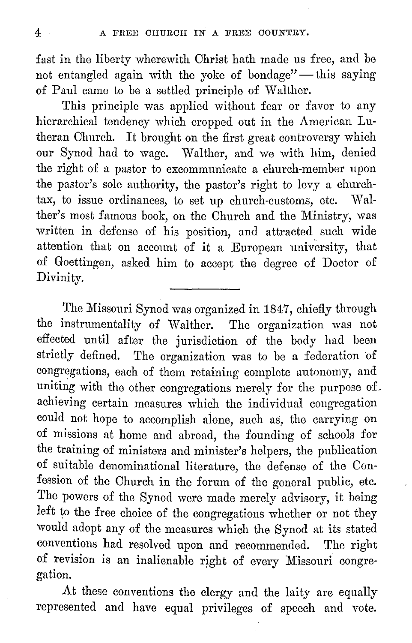fast in tho liberty wherewith Christ hath made us free, and be not entangled again with the yoke of bondage"  $-$  this saying of Paul came to be a settled principle of Walther.

This principle was applied without fear or favor to any hierarchical tendency which cropped out in the American Lutheran Church. It brought on the first great controversy which our Synod had to wage. Walther, and we with him, denied the right of a pastor to excommunicate a church-member upon the pastor's sole authority, the pastor's right to levy a churchtax, to issue ordinances, to set up church-customs, etc. Walther's most famous book, on the Church and the Ministry, was written in defense of his position, and attracted such wide attention that on account of it a European university, that of Goettingen, asked him to accept the degree of Doctor of Divinity.

The Missouri Synod was organized in 1847, chiefly through the instrumentality of Walther. The organization was not effected until after the jurisdiction of the body had been strictly defined. The organization was to be a federation of The organization was to be a federation of congregations, each of them retaining complete autonomy, and uniting with the other congregations merely for the purpose of. achieving certain measures which the individual congregation could not hope to accomplish alone, such as, the carrying on of missions at home and abroad, the founding of schools for the training of ministers and minister's helpers, the publication of suitable denominational literature, the defense of tho Confession of tho Church in the forum of the general public, etc. The powers of the Synod were made merely advisory, it being left to the free choice of the congregations whether or not they would adopt any of the measures which the Synod at its stated conventions had resolved upon and recommended. The right of revision is an inalienable right of every Missouri congregation.

At these conventions the clergy and the laity are equally represented and have equal privileges of speech and vote.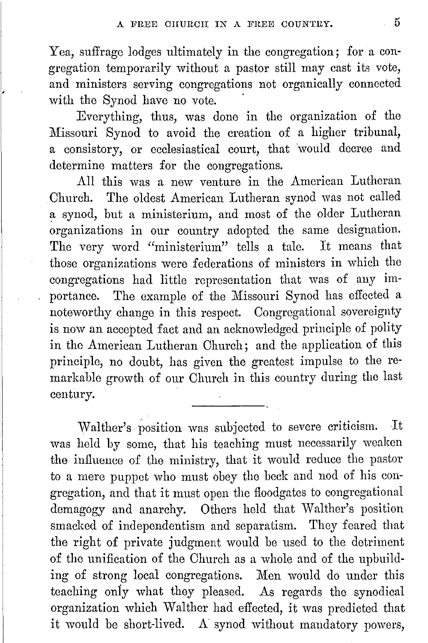Yea, suffrage lodges ultimately in the congregation; for a congregation temporarily without a pastor still may cast its vote, and ministers serving congregations not organically connected with the Synod have no vote.

Everything, thus, was done in the organization of the Missouri Synod to avoid the creation of a higher tribunal, a consistory, or ecclesiastical court, that would decree and determine matters for the congregations.

All this was a new venture in the American Lutheran Church. The oldest American Lutheran synod was not called a synod, but a ministerium, and most of the older Lutheran organizations in our country adopted the same designation.<br>The very word "ministerium" tells a tale. It means that The very word "ministerium" tells a tale. those organizations were federations of ministers in which the congregations had little representation that was of any importance. The example of the Missouri Synod has effected a noteworthy change in this respect. Congregational sovereignty is now an accepted fact and an acknowledged principle of polity in the American Lutheran Church; and the application of this principle, no doubt, has given the greatest impulse to the remarkable growth of our Church in this country during the last century.

Walther's position was subjected to severe criticism. It was held by some, that his teaching must necessarily weaken tho influence of the ministry, that it would reduce the pastor to a mere puppet who must obey the beck and nod of his congregation, and that it must open the floodgates to congregational demagogy and anarchy. Others held that Walther's position smacked of independentism and separatism. They feared that the right of private judgment would be used to the detriment of the unification of the Church as a whole and of the nphuilding of strong local congregations. Men would do under this teaching oniy what they pleased. As regards the synodical organization which Walther had effected, it was predicted that it would he short-lived. A synod without mandatory powers,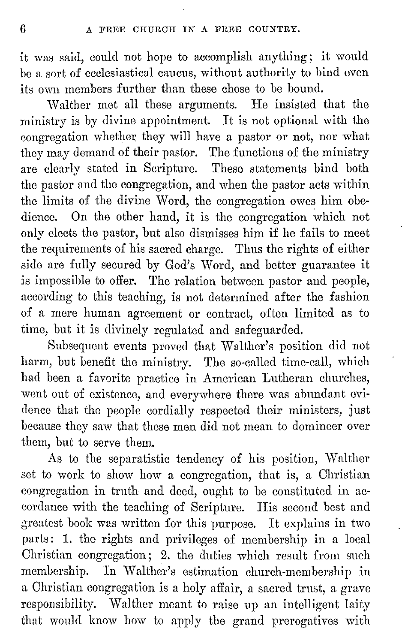it was said, could not hope to accomplish anything; it would be a sort of ecclesiastical caucus, without authority to bind even its own members further than these chose to be bound.

Walther met all these arguments. He insisted that the ministry is by divine appointment. It is not optional with the congregation whether they will have a pastor or not, nor what they may demand of their pastor. The functions of the ministry are clearly stated in Scripture. These statements bind both the pastor and the congregation, and when the pastor acts within the limits of the divine Word, the congregation owes him obedience. On the other hand, it is the congregation which not only elects the pastor, but also dismisses him if he fails to meet the requirements of his sacred charge. Thus the rights of either side are fully secured by God's Word, and better guarantee it is impossible to offer. The relation between pastor and people, according to this teaching, is not determined after the fashion of a more human agreement or contract, often limited as to time, but it is divinely regulated and safeguarded.

Subsequent events proved that Walther's position did not harm, but benefit the ministry. The so-called time-call, which had been a favorite practice in American Lutheran churches, went out of existence, and everywhere there was abundant evidence that tho people cordially respected their ministers, just because they saw that these men did not mean to domineer over them, but to serve them.

As to the separatistic tendency of his position, Walther set to work to show how a congregation, that is, a Christian congregation in truth and deed, ought to be constituted in accordance with the teaching of Scripture. His second best and greatest book was written for this purpose. It explains in two parts: 1. the rights and privileges of membership in a local Christian congregation; 2. the duties which result from such membership. In Walther's estimation church-membership in a Christian congregation is a holy affair, a sacred trust, a grave responsibility. Walther meant to raise up an intelligent laity that would know how to apply the grand prerogatives with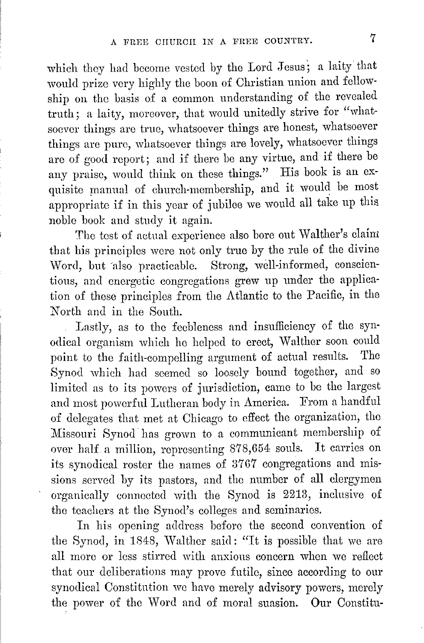which they had become vested by tho Lord Jesus; a laity that would prize very highly the boon of Christian union and fellowship on the basis of a common understanding of the revealed truth; a laity, moreover, that would unitedly strive for "whatsoever things are true, whatsoever things are honest, whatsoever things are pure, whatsoever things are lovely, whatsoever things are of good report; and if there be any virtue, and if there be any praise, would think on these things." His book is an exquisite manual of church-membership, and it would be most appropriate if in this year of jubilee we would all take up this. noble book and study it again.

The test of actual experience also bore out Walther's claim that his principles were not only true by the rule of the divine Word, but also practicable. Strong, well-informed, conscientious, and energetic congregations grew up under the application 0£ these principles from the Atlantic to the Pacific, in the North and in tho South.

Lastly, as to tho feebleness and insufficiency 0£ the synodical organism which ho helped to erect, Walther soon could point to tho faith-compelling argument 0£ actual results. The Synod which had seemed so loosely bound together, and so limited as to its powers of jurisdiction, came to be the largest and most powerful Lutheran body in America. From a handful 0£ delegates that met at Chicago to effect the organization, the Missouri Synod has grown to a communicant membership of over half a million, representing 878,654: souls. It carries on its synodical roster the names of 3767 congregations and missions served by its pastors, and tho number of all clergymen organically connected with the Synod is 2213, inclusive 0£ tho teachers at tho Synod's colleges and seminaries.

In his opening address before the second convention of the Synod, in 1848, Walther said: "It is possible that we are all more or loss stirred with anxious concern when we reflect that our deliberations may prove £utile, since according to our synodical Constitution we have merely advisory powers, merely the power of the Word and 0£ moral suasion. **Our** Constitu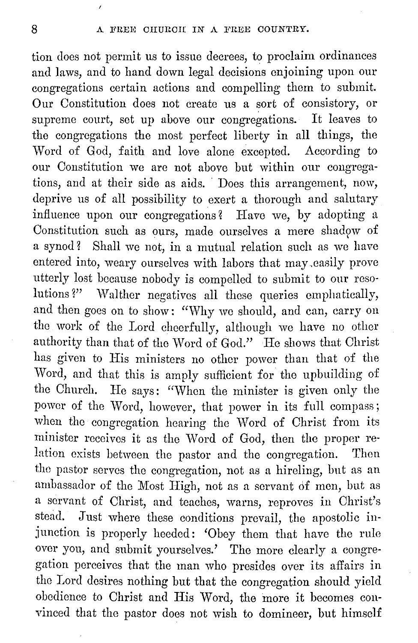tion does not permit us to issue decrees, to proclaim ordinances and laws, and to hand down legal decisions enjoining upon our congregations certain actions and compelling them to submit. Our Constitution does not create us a sort of consistory, or supreme court, set up above our congregations. It leaves to the congregations the most perfect liberty in all things, the Word of God, faith and love alone excepted. According to our Constitution we arc not above but within our congregations, and at their side as aids. Does this arrangement, now, deprive us of all possibility to exert a thorough and salutary influence upon our congregations? Have we, by adopting a Constitution such as ours, made ourselves a mere shadow of a synod? Shall we not, in a mutual relation such as we have entered into, weary ourselves with labors that may ,easily prove utterly lost because nobody is compelled to submit to onr resolutions?" Walther negatives all these queries emphatically, and then goes on to show: "Why we should, and can, carry on the work of the Lord cheerfully, although we have no other authority than that of the Word of God." He shows that Christ has given to His ministers no other power than that of the Word, and that this is amply sufficient for the upbuilding of the Church. He says: "When the minister is given only the power of the Word, however, that power in its full compass; when the congregation hearing the Word of Christ from its minister receives it as the Word of God, then the proper relation exists between the pastor and the congregation. Then the pastor serves the congregation, not as a hireling, but as an ambassador of the Most High, not as a servant 6£ men, hut as a servant of Christ, and teaches, warns, reproves in Christ's stead. Just where these conditions prevail, the apostolic injunction is properly heeded: 'Obey them that have the rule over you, and submit yourselves.' The more clearly a congregation perceives that the man who presides over its affairs in the Lord desires nothing but that the congregation should yield obedience to Christ and His Word, the more it becomes convinced that the pastor does not wish to domineer, but himself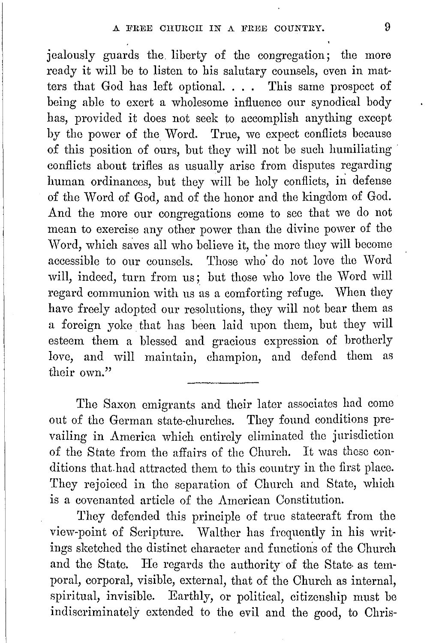jealously guards the liberty of the congregation; the more ready it will be to listen to his salutary counsels, even in matters that God has left optional. . . . This same prospect of being able to exert a wholesome influence our synodical body has, provided it does not seek to accomplish anything except by the power of the Word. True, we expect conflicts because of this position of ours, but they will not be such humiliating conflicts about trifles as usually arise from disputes regarding human ordinances, but they will be holy conflicts, in defense of the Word of God, and of the honor and the kingdom of God. And the more our congregations come to sec that we do not mean to exercise any other power than the divine power of the Word, which saves all who believe it, the more they will become accessible to our counsels. Those who· do not love tho Word will, indeed, turn from us; but those who love the Word will regard communion with us as a comforting refuge. When they have freely adopted our resolutions, they will not bear them as a foreign yoke that has been laid upon them, but they will esteem them a blessed and gracious expression of brotherly love, and will maintain, champion, and defend them as their own."

The Saxon emigrants and their later associates had come out of tho German state-churches. They found conditions prevailing in America which entirely eliminated tho jurisdiction of the State from the affairs of the Church. It was these conditions that had attracted them to this country in the first place. They rejoiced in tho separation of Church and State, which is a covenanted article of the American Constitution.

They defended this principle of true statecraft from tho view-point of Scripture. Walther has frequently in his writings sketched tho distinct character and functions of the Church and the State. He regards the authority of the State as temporal, corporal, visible, external, that of the Church as internal, spiritual, invisible. Earthly, or political, citizenship must be indiscriminately extended to the evil and the good, to Chris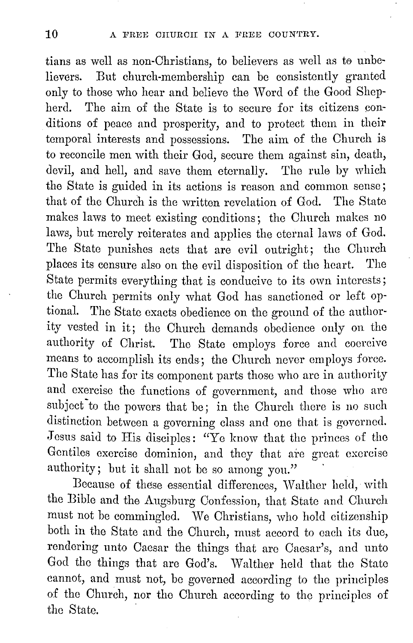tians as well as non-Christians, to believers as well as to unbelievers. But church-membership can be consistently granted only to those who hear and believe the Word of the Good Shepherd. The aim of the State is to secure for its citizens conditions of peace and prosperity, and to protect them in their temporal interests and possessions. The aim of the Church is to reconcile men with their God, secure them against sin, death, devil, and hell, and save them eternally. The rule by which the State is guided in its actions is reason and common sense; that of the Church is the written revelation of God. The State makes laws to meet existing conditions; the Church makes no laws, but merely reiterates and applies the eternal laws of God. The State punishes acts that are evil outright; the Church places its censure also on the evil disposition of the heart. The State permits everything that is conducive to its own interests; the Church permits only what God has sanctioned or left optional. The State exacts obedience on the ground of the authority vested in it; the Church demands obedience only on the authority of Christ. The State employs force and coercive means to accomplish its ends; the Church never employs force. The State has for its component parts those who arc in authority and exercise the functions of government, and those who are subject to the powers that be; in the Church there is no such distinction between a governing class and one that is governed. Jesus said to His disciples: "Ye know that the princes of the Gentiles exercise dominion, and they that are great exercise authority; but it shall not be so among you."

Because of these essential differences, Walther held, with the Bible and the Augsburg Confession, that State and Church must not be commingled. We Christians, who hold citizenship both in the State and the Church, must accord to each its due, rendering unto Caesar the things that arc Caesar's, and unto God the things that are God's. Walther held that the State cannot, and must not, be governed according to the principles of the Church, nor tho Church according to the principles of the State.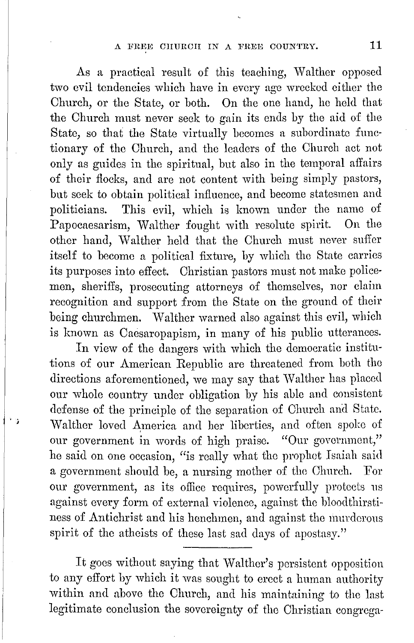#### A FREE CHURCH IN A FREE COUNTRY. 11

As a practical result of this teaching, Walther opposed two evil tendencies which have in every age wrecked either the Church, or the State, or both. On the one hand, he held that the Church must never seek to gain its ends by the aid of the State, so that the State virtually becomes a subordinate functionary of the Church, and the leaders of the Church act not only as guides in the spiritual, but also in the temporal affairs of their flocks, and arc not content with being simply pastors, but seek to obtain political influence, and become statesmen and politicians. This evil, which is known under the name of Papocaesarism, Walther fought with resolute spirit. On the other hand, Walther held that the Church must never suffer itself to become a political fixture, by which the State carries its purposes into effect. Christian pastors must not make policemen, sheriffs, prosecuting attorneys of themselves, nor claim recognition and support from the State on the ground of their being churchmen. Walther warned also against this evil, which is known as Caesaropapism, in many of his public utterances.

In view of the dangers with which the democratic institutions of our American Republic are threatened from both the directions aforementioned, we may say that Walther has placed our whole country under obligation by his able and consistent defense of tho principle of the separation of Church and State. Walther loved America and her liberties, and often spoke of our government in words of high praise. "Our government," he said on one occasion, "is really what the prophet Isaiah said a government should be, a nursing mother of the Church. For our government, as its office requires, powerfully protects us against every form of external violence, against the bloodthirstiness of Antichrist and his henchmen, and against the murderous spirit of the atheists of these last sad days of apostasy."

' ;

It goes without saying that Walther's persistent opposition to any effort by which it was sought to erect a human authority within and above the Church, and his maintaining to the last legitimate conclusion the sovereignty of the Christian congrega